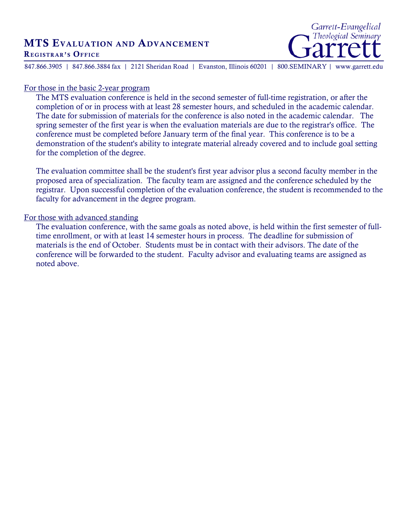## MTS EVALUATION AND ADVANCEMENT REGISTRAR'S OFFICE



847.866.3905 | 847.866.3884 fax | 2121 Sheridan Road | Evanston, Illinois 60201 | 800.SEMINARY | www.garrett.edu

## For those in the basic 2-year program

The MTS evaluation conference is held in the second semester of full-time registration, or after the completion of or in process with at least 28 semester hours, and scheduled in the academic calendar. The date for submission of materials for the conference is also noted in the academic calendar. The spring semester of the first year is when the evaluation materials are due to the registrar's office. The conference must be completed before January term of the final year. This conference is to be a demonstration of the student's ability to integrate material already covered and to include goal setting for the completion of the degree.

The evaluation committee shall be the student's first year advisor plus a second faculty member in the proposed area of specialization. The faculty team are assigned and the conference scheduled by the registrar. Upon successful completion of the evaluation conference, the student is recommended to the faculty for advancement in the degree program.

## For those with advanced standing

The evaluation conference, with the same goals as noted above, is held within the first semester of fulltime enrollment, or with at least 14 semester hours in process. The deadline for submission of materials is the end of October. Students must be in contact with their advisors. The date of the conference will be forwarded to the student. Faculty advisor and evaluating teams are assigned as noted above.